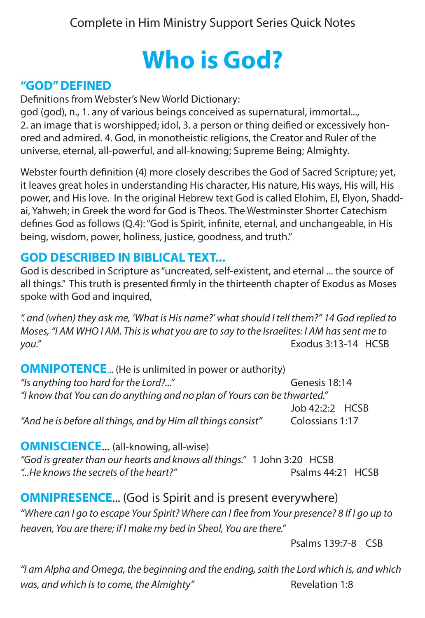# **Who is God?**<br>"GOD" DEFINED

Definitions from Webster's New World Dictionary:

god (god), n., 1. any of various beings conceived as supernatural, immortal..., 2. an image that is worshipped; idol, 3. a person or thing deified or excessively honored and admired. 4. God, in monotheistic religions, the Creator and Ruler of the universe, eternal, all-powerful, and all-knowing; Supreme Being; Almighty.

Webster fourth definition (4) more closely describes the God of Sacred Scripture; yet, it leaves great holes in understanding His character, His nature, His ways, His will, His power, and His love. In the original Hebrew text God is called Elohim, El, Elyon, Shaddai, Yahweh; in Greek the word for God is Theos. The Westminster Shorter Catechism defines God as follows (Q.4): "God is Spirit, infinite, eternal, and unchangeable, in His being, wisdom, power, holiness, justice, goodness, and truth."

# **GOD DESCRIBED IN BIBLICAL TEXT...**

God is described in Scripture as "uncreated, self-existent, and eternal ... the source of all things." This truth is presented firmly in the thirteenth chapter of Exodus as Moses spoke with God and inquired,

*". and (when) they ask me, 'What is His name?' what should I tell them?" 14 God replied to Moses, "I AM WHO I AM. This is what you are to say to the Israelites: I AM has sent me to you."* Exodus 3:13-14 HCSB

| <b>OMNIPOTENCE</b> (He is unlimited in power or authority)              |                 |  |
|-------------------------------------------------------------------------|-----------------|--|
| "Is anything too hard for the Lord?"                                    | Genesis 18:14   |  |
| "I know that You can do anything and no plan of Yours can be thwarted." |                 |  |
|                                                                         | Job 42:2:2 HCSB |  |
| "And he is before all things, and by Him all things consist"            | Colossians 1:17 |  |

**OMNISCIENCE...** (all-knowing, all-wise)

*"God is greater than our hearts and knows all things."* 1 John 3:20 HCSB *"...He knows the secrets of the heart?"* Psalms 44:21 HCSB

# **OMNIPRESENCE...** (God is Spirit and is present everywhere)

*"Where can I go to escape Your Spirit? Where can I flee from Your presence? 8 If I go up to heaven, You are there; if I make my bed in Sheol, You are there."*

Psalms 139:7-8 CSB

*"I am Alpha and Omega, the beginning and the ending, saith the Lord which is, and which was, and which is to come, the Almighty"* Revelation 1:8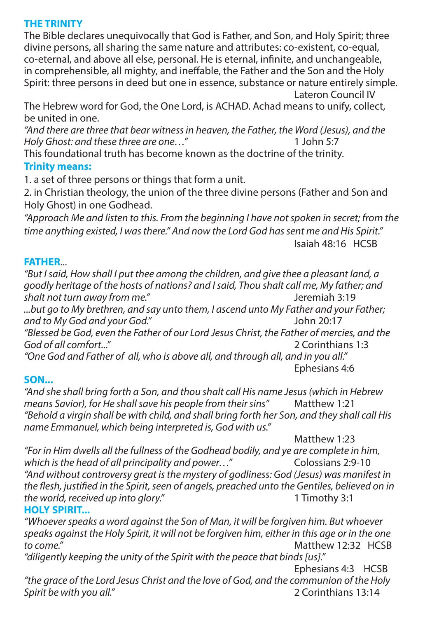#### **THE TRINITY**

The Bible declares unequivocally that God is Father, and Son, and Holy Spirit; three divine persons, all sharing the same nature and attributes: co-existent, co-equal, co-eternal, and above all else, personal. He is eternal, infinite, and unchangeable, in comprehensible, all mighty, and ineffable, the Father and the Son and the Holy Spirit: three persons in deed but one in essence, substance or nature entirely simple. Lateron Council IV

The Hebrew word for God, the One Lord, is ACHAD. Achad means to unify, collect, be united in one.

*"And there are three that bear witness in heaven, the Father, the Word (Jesus), and the Holy Ghost: and these three are one…"* 1 John 5:7

This foundational truth has become known as the doctrine of the trinity.

#### **Trinity means:**

1. a set of three persons or things that form a unit.

2. in Christian theology, the union of the three divine persons (Father and Son and Holy Ghost) in one Godhead.

*"Approach Me and listen to this. From the beginning I have not spoken in secret; from the time anything existed, I was there." And now the Lord God has sent me and His Spirit."* Isaiah 48:16 HCSB

#### **FATHER**...

*"But I said, How shall I put thee among the children, and give thee a pleasant land, a goodly heritage of the hosts of nations? and I said, Thou shalt call me, My father; and shalt not turn away from me."* Jeremiah 3:19 *...but go to My brethren, and say unto them, I ascend unto My Father and your Father;* 

*and to My God and your God."* John 20:17 *"Blessed be God, even the Father of our Lord Jesus Christ, the Father of mercies, and the God of all comfort..."* 2 Corinthians 1:3

*"One God and Father of all, who is above all, and through all, and in you all."* Ephesians 4:6

#### **SON...**

*"And she shall bring forth a Son, and thou shalt call His name Jesus (which in Hebrew means Savior), for He shall save his people from their sins"* Matthew 1:21 *"Behold a virgin shall be with child, and shall bring forth her Son, and they shall call His name Emmanuel, which being interpreted is, God with us."*

 Matthew 1:23 *"For in Him dwells all the fullness of the Godhead bodily, and ye are complete in him, which is the head of all principality and power...*" *"And without controversy great is the mystery of godliness: God (Jesus) was manifest in the flesh, justified in the Spirit, seen of angels, preached unto the Gentiles, believed on in the world, received up into glory."* 1 Timothy 3:1

#### **HOLY SPIRIT...**

*"Whoever speaks a word against the Son of Man, it will be forgiven him. But whoever speaks against the Holy Spirit, it will not be forgiven him, either in this age or in the one*  Matthew 12:32 HCSB *"diligently keeping the unity of the Spirit with the peace that binds [us]."* Ephesians 4:3 HCSB *"the grace of the Lord Jesus Christ and the love of God, and the communion of the Holy* 

*Spirit be with you all."* 2 Corinthians 13:14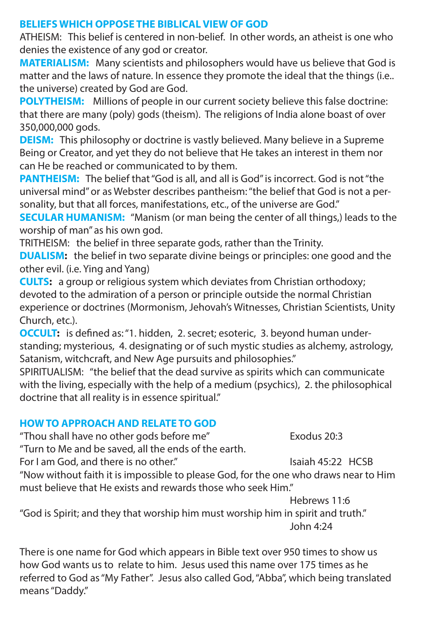#### **BELIEFS WHICH OPPOSE THE BIBLICAL VIEW OF GOD**

ATHEISM: This belief is centered in non-belief. In other words, an atheist is one who denies the existence of any god or creator.

**MATERIALISM:** Many scientists and philosophers would have us believe that God is matter and the laws of nature. In essence they promote the ideal that the things (i.e.. the universe) created by God are God.

**POLYTHEISM:** Millions of people in our current society believe this false doctrine: that there are many (poly) gods (theism). The religions of India alone boast of over 350,000,000 gods.

**DEISM:** This philosophy or doctrine is vastly believed. Many believe in a Supreme Being or Creator, and yet they do not believe that He takes an interest in them nor can He be reached or communicated to by them.

**PANTHEISM:** The belief that "God is all, and all is God" is incorrect. God is not "the universal mind" or as Webster describes pantheism: "the belief that God is not a personality, but that all forces, manifestations, etc., of the universe are God."

**SECULAR HUMANISM:** "Manism (or man being the center of all things,) leads to the worship of man" as his own god.

TRITHEISM: the belief in three separate gods, rather than the Trinity.

**DUALISM:** the belief in two separate divine beings or principles: one good and the other evil. (i.e. Ying and Yang)

**CULTS:** a group or religious system which deviates from Christian orthodoxy; devoted to the admiration of a person or principle outside the normal Christian experience or doctrines (Mormonism, Jehovah's Witnesses, Christian Scientists, Unity Church, etc.).

**OCCULT:** is defined as: "1. hidden, 2. secret; esoteric, 3. beyond human understanding; mysterious, 4. designating or of such mystic studies as alchemy, astrology, Satanism, witchcraft, and New Age pursuits and philosophies."

SPIRITUALISM: "the belief that the dead survive as spirits which can communicate with the living, especially with the help of a medium (psychics), 2. the philosophical doctrine that all reality is in essence spiritual."

### **HOW TO APPROACH AND RELATE TO GOD**

"Thou shall have no other gods before me" Exodus 20:3

"Turn to Me and be saved, all the ends of the earth.

For I am God, and there is no other." The South of Isaiah 45:22 HCSB

"Now without faith it is impossible to please God, for the one who draws near to Him must believe that He exists and rewards those who seek Him."

 Hebrews 11:6 "God is Spirit; and they that worship him must worship him in spirit and truth." John 4:24

There is one name for God which appears in Bible text over 950 times to show us how God wants us to relate to him. Jesus used this name over 175 times as he referred to God as "My Father". Jesus also called God, "Abba", which being translated means "Daddy."